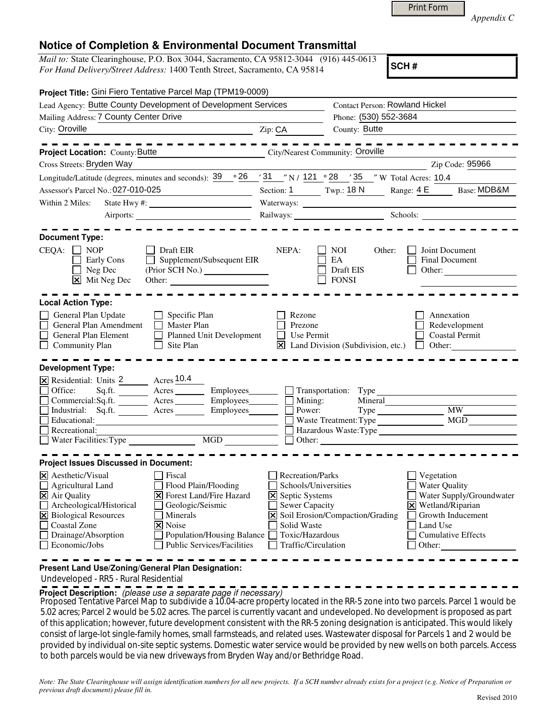|  | <b>Print Form</b> |
|--|-------------------|
|  |                   |

*Appendix C* 

## **Notice of Completion & Environmental Document Transmittal**

*Mail to:* State Clearinghouse, P.O. Box 3044, Sacramento, CA 95812-3044 (916) 445-0613 *For Hand Delivery/Street Address:* 1400 Tenth Street, Sacramento, CA 95814

**SCH #**

| Project Title: Gini Fiero Tentative Parcel Map (TPM19-0009)                                                                                                                                                                                                                                                                                                                                                         |                                                                                                                        |                                                                    |                                                                                                                                                                                                                                |
|---------------------------------------------------------------------------------------------------------------------------------------------------------------------------------------------------------------------------------------------------------------------------------------------------------------------------------------------------------------------------------------------------------------------|------------------------------------------------------------------------------------------------------------------------|--------------------------------------------------------------------|--------------------------------------------------------------------------------------------------------------------------------------------------------------------------------------------------------------------------------|
| Lead Agency: Butte County Development of Development Services                                                                                                                                                                                                                                                                                                                                                       |                                                                                                                        | <b>Contact Person: Rowland Hickel</b>                              |                                                                                                                                                                                                                                |
| Mailing Address: 7 County Center Drive                                                                                                                                                                                                                                                                                                                                                                              |                                                                                                                        | Phone: (530) 552-3684                                              |                                                                                                                                                                                                                                |
| City: Oroville                                                                                                                                                                                                                                                                                                                                                                                                      | Zip: CA                                                                                                                | County: Butte                                                      |                                                                                                                                                                                                                                |
| .                                                                                                                                                                                                                                                                                                                                                                                                                   |                                                                                                                        |                                                                    |                                                                                                                                                                                                                                |
| City/Nearest Community: Oroville<br>Project Location: County: Butte                                                                                                                                                                                                                                                                                                                                                 |                                                                                                                        |                                                                    |                                                                                                                                                                                                                                |
| Cross Streets: Bryden Way                                                                                                                                                                                                                                                                                                                                                                                           |                                                                                                                        |                                                                    | Zip Code: 95966                                                                                                                                                                                                                |
| Longitude/Latitude (degrees, minutes and seconds): $\frac{39}{9}$ $\frac{26}{131}$ $\frac{31}{121}$ $\frac{31}{121}$ $\frac{28}{128}$ $\frac{35}{35}$ $\frac{35}{12}$ W Total Acres: 10.4                                                                                                                                                                                                                           |                                                                                                                        |                                                                    |                                                                                                                                                                                                                                |
| Assessor's Parcel No.: 027-010-025                                                                                                                                                                                                                                                                                                                                                                                  |                                                                                                                        |                                                                    | Section: 1 Twp.: 18 N Range: $4 \text{ E}$ Base: MDB&M                                                                                                                                                                         |
| Within 2 Miles:                                                                                                                                                                                                                                                                                                                                                                                                     |                                                                                                                        |                                                                    |                                                                                                                                                                                                                                |
|                                                                                                                                                                                                                                                                                                                                                                                                                     |                                                                                                                        |                                                                    | Railways: Schools: Chools: Chools: Chools: Chools: Chools: Chools: Chools: Chools: Chools: Chools: Chools: Chools: Chools: Chools: Chools: Chools: Chools: Chools: Chools: Chools: Chools: Chools: Chools: Chools: Chools: Cho |
| <b>Document Type:</b><br>$CEQA: \Box NP$<br>Draft EIR<br>$\Box$ Supplement/Subsequent EIR<br>Early Cons<br>$\Box$ Neg Dec<br>$\boxed{\mathsf{X}}$ Mit Neg Dec<br>Other:                                                                                                                                                                                                                                             | NEPA:                                                                                                                  | NOI<br>Other:<br>EA<br>Draft EIS<br><b>FONSI</b>                   | Joint Document<br>Final Document<br>Other: $\qquad \qquad \qquad$                                                                                                                                                              |
| <b>Local Action Type:</b>                                                                                                                                                                                                                                                                                                                                                                                           |                                                                                                                        |                                                                    |                                                                                                                                                                                                                                |
| General Plan Update<br>Specific Plan<br>$\Box$<br>General Plan Amendment<br>Master Plan<br>Planned Unit Development<br>General Plan Element<br>Community Plan<br>Site Plan<br>$\mathbf{I}$                                                                                                                                                                                                                          | Rezone<br>Prezone<br>Use Permit<br>$\vert \times \vert$                                                                | Land Division (Subdivision, etc.)                                  | Annexation<br>Redevelopment<br><b>Coastal Permit</b><br>Other:<br>$\perp$                                                                                                                                                      |
| <b>Development Type:</b>                                                                                                                                                                                                                                                                                                                                                                                            |                                                                                                                        |                                                                    |                                                                                                                                                                                                                                |
| X Residential: Units 2 Acres 10.4<br>Office:<br>$A$ cres $\_\_\_\_\_\_\_\$<br>Sq.fit.<br>Employees________<br>Commercial:Sq.ft. _________ Acres _______<br>Employees________<br>Industrial: Sq.ft. Acres<br>Employees________<br>Educational:<br>Recreational:<br>$\mathcal{L}_{\mathcal{A}}$<br><u> 1980 - Johann Barn, amerikansk politiker (</u><br>$\Box$ Water Facilities: Type<br>MGD                         |                                                                                                                        | $\Box$ Transportation: Type<br>$\Box$ Mining:<br>Mineral<br>Power: | <b>MW</b><br>Hazardous Waste: Type                                                                                                                                                                                             |
| <b>Project Issues Discussed in Document:</b>                                                                                                                                                                                                                                                                                                                                                                        |                                                                                                                        |                                                                    |                                                                                                                                                                                                                                |
| $\times$ Aesthetic/Visual<br>Fiscal<br>$\Box$ Agricultural Land<br>Flood Plain/Flooding<br><b>X</b> Forest Land/Fire Hazard<br><b>X</b> Air Quality<br>Archeological/Historical<br>Geologic/Seismic<br><b>X</b> Biological Resources<br>Minerals<br>Coastal Zone<br>$\overline{\mathsf{x}}$ Noise<br>Drainage/Absorption<br>Population/Housing Balance<br>$\Box$ Economic/Jobs<br><b>Public Services/Facilities</b> | Recreation/Parks<br>⊠ Septic Systems<br><b>Sewer Capacity</b><br>Solid Waste<br>Toxic/Hazardous<br>Traffic/Circulation | Schools/Universities<br>X Soil Erosion/Compaction/Grading          | Vegetation<br><b>Water Quality</b><br>Water Supply/Groundwater<br>X Wetland/Riparian<br>Growth Inducement<br>Land Use<br><b>Cumulative Effects</b><br>Other:                                                                   |

**Present Land Use/Zoning/General Plan Designation:**

Undeveloped - RR5 - Rural Residential

**Project Description:** (please use a separate page if necessary)

Proposed Tentative Parcel Map to subdivide a 10.04-acre property located in the RR-5 zone into two parcels. Parcel 1 would be<br>F. 23 x x x x Parcel 2 years of the F. 23 x x x x The parcel is general to see the developed Mac 5.02 acres; Parcel 2 would be 5.02 acres. The parcel is currently vacant and undeveloped. No development is proposed as part of this application; however, future development consistent with the RR-5 zoning designation is anticipated. This would likely consist of large-lot single-family homes, small farmsteads, and related uses. Wastewater disposal for Parcels 1 and 2 would be provided by individual on-site septic systems. Domestic water service would be provided by new wells on both parcels. Access to both parcels would be via new driveways from Bryden Way and/or Bethridge Road.

*Note: The State Clearinghouse will assign identification numbers for all new projects. If a SCH number already exists for a project (e.g. Notice of Preparation or previous draft document) please fill in.*